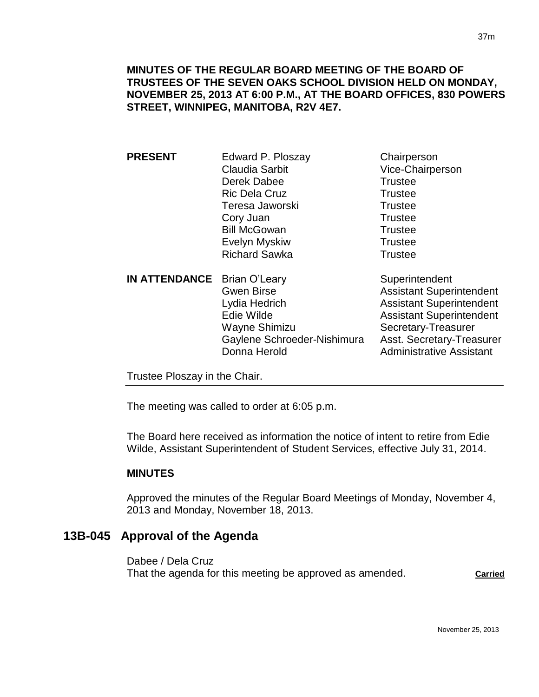### **MINUTES OF THE REGULAR BOARD MEETING OF THE BOARD OF TRUSTEES OF THE SEVEN OAKS SCHOOL DIVISION HELD ON MONDAY, NOVEMBER 25, 2013 AT 6:00 P.M., AT THE BOARD OFFICES, 830 POWERS STREET, WINNIPEG, MANITOBA, R2V 4E7.**

| <b>PRESENT</b>                | Edward P. Ploszay           | Chairperson                     |
|-------------------------------|-----------------------------|---------------------------------|
|                               | <b>Claudia Sarbit</b>       | Vice-Chairperson                |
|                               | Derek Dabee                 | <b>Trustee</b>                  |
|                               | <b>Ric Dela Cruz</b>        | Trustee                         |
|                               | Teresa Jaworski             | <b>Trustee</b>                  |
|                               | Cory Juan                   | <b>Trustee</b>                  |
|                               | <b>Bill McGowan</b>         | <b>Trustee</b>                  |
|                               | Evelyn Myskiw               | <b>Trustee</b>                  |
|                               | <b>Richard Sawka</b>        | <b>Trustee</b>                  |
| <b>IN ATTENDANCE</b>          | Brian O'Leary               | Superintendent                  |
|                               | <b>Gwen Birse</b>           | <b>Assistant Superintendent</b> |
|                               | Lydia Hedrich               | <b>Assistant Superintendent</b> |
|                               | Edie Wilde                  | <b>Assistant Superintendent</b> |
|                               | Wayne Shimizu               | Secretary-Treasurer             |
|                               | Gaylene Schroeder-Nishimura | Asst. Secretary-Treasurer       |
|                               | Donna Herold                | <b>Administrative Assistant</b> |
| Trustee Ploszay in the Chair. |                             |                                 |
|                               |                             |                                 |

The meeting was called to order at 6:05 p.m.

The Board here received as information the notice of intent to retire from Edie Wilde, Assistant Superintendent of Student Services, effective July 31, 2014.

### **MINUTES**

Approved the minutes of the Regular Board Meetings of Monday, November 4, 2013 and Monday, November 18, 2013.

# **13B-045 Approval of the Agenda**

Dabee / Dela Cruz That the agenda for this meeting be approved as amended. **Carried**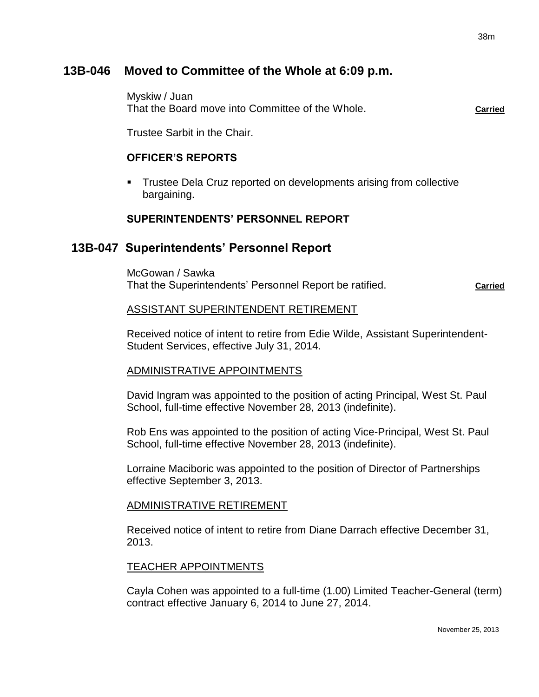# **13B-046 Moved to Committee of the Whole at 6:09 p.m.**

Myskiw / Juan That the Board move into Committee of the Whole. **Carried**

Trustee Sarbit in the Chair.

### **OFFICER'S REPORTS**

 Trustee Dela Cruz reported on developments arising from collective bargaining.

### **SUPERINTENDENTS' PERSONNEL REPORT**

# **13B-047 Superintendents' Personnel Report**

McGowan / Sawka That the Superintendents' Personnel Report be ratified. **Carried** Carried

### ASSISTANT SUPERINTENDENT RETIREMENT

Received notice of intent to retire from Edie Wilde, Assistant Superintendent-Student Services, effective July 31, 2014.

### ADMINISTRATIVE APPOINTMENTS

David Ingram was appointed to the position of acting Principal, West St. Paul School, full-time effective November 28, 2013 (indefinite).

Rob Ens was appointed to the position of acting Vice-Principal, West St. Paul School, full-time effective November 28, 2013 (indefinite).

Lorraine Maciboric was appointed to the position of Director of Partnerships effective September 3, 2013.

### ADMINISTRATIVE RETIREMENT

Received notice of intent to retire from Diane Darrach effective December 31, 2013.

### TEACHER APPOINTMENTS

Cayla Cohen was appointed to a full-time (1.00) Limited Teacher-General (term) contract effective January 6, 2014 to June 27, 2014.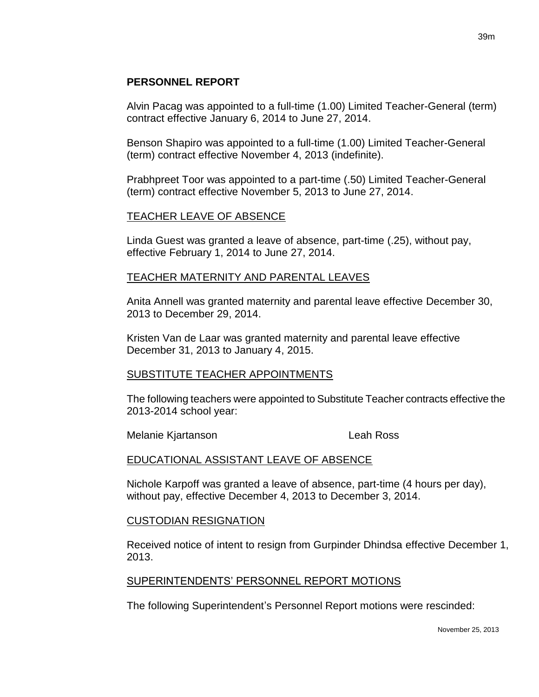## **PERSONNEL REPORT**

Alvin Pacag was appointed to a full-time (1.00) Limited Teacher-General (term) contract effective January 6, 2014 to June 27, 2014.

Benson Shapiro was appointed to a full-time (1.00) Limited Teacher-General (term) contract effective November 4, 2013 (indefinite).

Prabhpreet Toor was appointed to a part-time (.50) Limited Teacher-General (term) contract effective November 5, 2013 to June 27, 2014.

### TEACHER LEAVE OF ABSENCE

Linda Guest was granted a leave of absence, part-time (.25), without pay, effective February 1, 2014 to June 27, 2014.

### TEACHER MATERNITY AND PARENTAL LEAVES

Anita Annell was granted maternity and parental leave effective December 30, 2013 to December 29, 2014.

Kristen Van de Laar was granted maternity and parental leave effective December 31, 2013 to January 4, 2015.

### SUBSTITUTE TEACHER APPOINTMENTS

The following teachers were appointed to Substitute Teacher contracts effective the 2013-2014 school year:

Melanie Kjartanson Leah Ross

### EDUCATIONAL ASSISTANT LEAVE OF ABSENCE

Nichole Karpoff was granted a leave of absence, part-time (4 hours per day), without pay, effective December 4, 2013 to December 3, 2014.

### CUSTODIAN RESIGNATION

Received notice of intent to resign from Gurpinder Dhindsa effective December 1, 2013.

### SUPERINTENDENTS' PERSONNEL REPORT MOTIONS

The following Superintendent's Personnel Report motions were rescinded: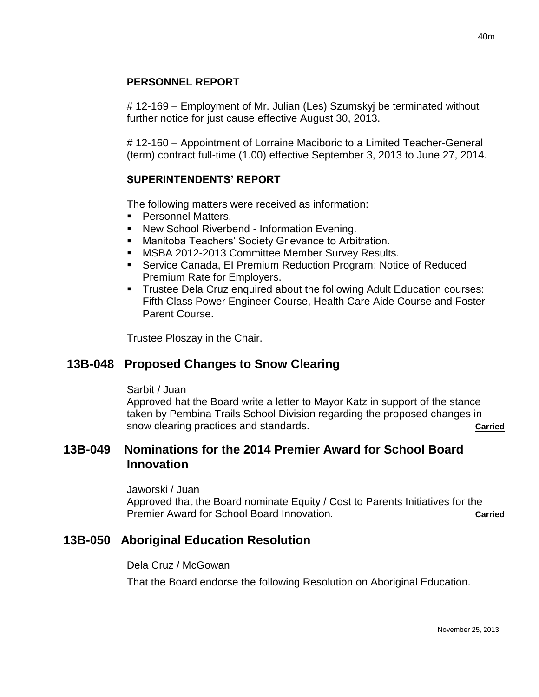# **PERSONNEL REPORT**

# 12-169 – Employment of Mr. Julian (Les) Szumskyj be terminated without further notice for just cause effective August 30, 2013.

# 12-160 – Appointment of Lorraine Maciboric to a Limited Teacher-General (term) contract full-time (1.00) effective September 3, 2013 to June 27, 2014.

# **SUPERINTENDENTS' REPORT**

The following matters were received as information:

- Personnel Matters.
- New School Riverbend Information Evening.
- **Manitoba Teachers' Society Grievance to Arbitration.**
- **MSBA 2012-2013 Committee Member Survey Results.**
- Service Canada, EI Premium Reduction Program: Notice of Reduced Premium Rate for Employers.
- Trustee Dela Cruz enquired about the following Adult Education courses: Fifth Class Power Engineer Course, Health Care Aide Course and Foster Parent Course.

Trustee Ploszay in the Chair.

# **13B-048 Proposed Changes to Snow Clearing**

### Sarbit / Juan

Approved hat the Board write a letter to Mayor Katz in support of the stance taken by Pembina Trails School Division regarding the proposed changes in snow clearing practices and standards. **Carried** carried

# **13B-049 Nominations for the 2014 Premier Award for School Board Innovation**

### Jaworski / Juan

Approved that the Board nominate Equity / Cost to Parents Initiatives for the Premier Award for School Board Innovation. **Carried** Carried

# **13B-050 Aboriginal Education Resolution**

### Dela Cruz / McGowan

That the Board endorse the following Resolution on Aboriginal Education.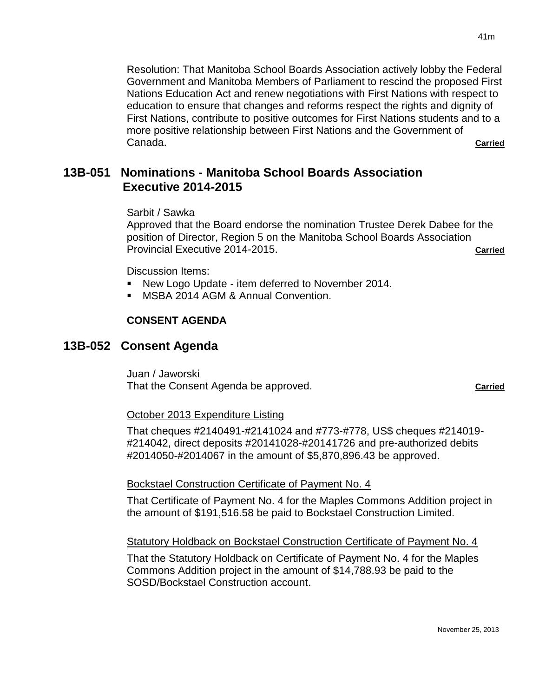Resolution: That Manitoba School Boards Association actively lobby the Federal Government and Manitoba Members of Parliament to rescind the proposed First Nations Education Act and renew negotiations with First Nations with respect to education to ensure that changes and reforms respect the rights and dignity of First Nations, contribute to positive outcomes for First Nations students and to a more positive relationship between First Nations and the Government of Canada. **Carried**

# **13B-051 Nominations - Manitoba School Boards Association Executive 2014-2015**

Sarbit / Sawka

Approved that the Board endorse the nomination Trustee Derek Dabee for the position of Director, Region 5 on the Manitoba School Boards Association Provincial Executive 2014-2015. **Carried**

Discussion Items:

- New Logo Update item deferred to November 2014.
- MSBA 2014 AGM & Annual Convention.

### **CONSENT AGENDA**

### **13B-052 Consent Agenda**

Juan / Jaworski That the Consent Agenda be approved. **Carried Carried** 

### October 2013 Expenditure Listing

That cheques #2140491-#2141024 and #773-#778, US\$ cheques #214019- #214042, direct deposits #20141028-#20141726 and pre-authorized debits #2014050-#2014067 in the amount of \$5,870,896.43 be approved.

### Bockstael Construction Certificate of Payment No. 4

That Certificate of Payment No. 4 for the Maples Commons Addition project in the amount of \$191,516.58 be paid to Bockstael Construction Limited.

### Statutory Holdback on Bockstael Construction Certificate of Payment No. 4

That the Statutory Holdback on Certificate of Payment No. 4 for the Maples Commons Addition project in the amount of \$14,788.93 be paid to the SOSD/Bockstael Construction account.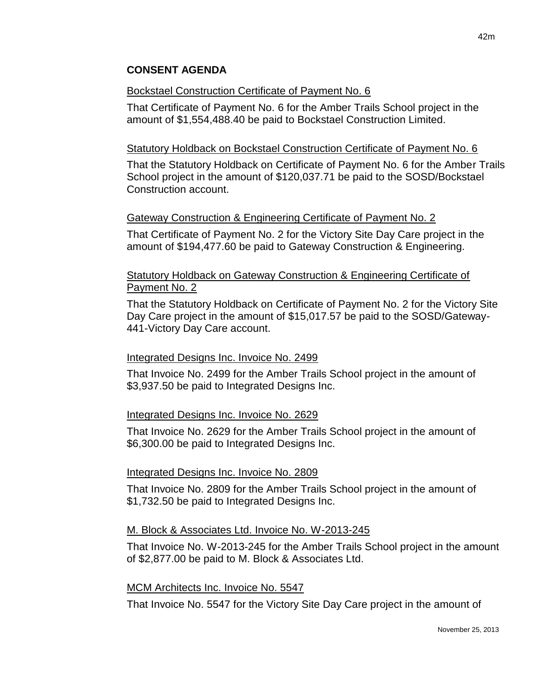## **CONSENT AGENDA**

### Bockstael Construction Certificate of Payment No. 6

That Certificate of Payment No. 6 for the Amber Trails School project in the amount of \$1,554,488.40 be paid to Bockstael Construction Limited.

### Statutory Holdback on Bockstael Construction Certificate of Payment No. 6

That the Statutory Holdback on Certificate of Payment No. 6 for the Amber Trails School project in the amount of \$120,037.71 be paid to the SOSD/Bockstael Construction account.

## Gateway Construction & Engineering Certificate of Payment No. 2

That Certificate of Payment No. 2 for the Victory Site Day Care project in the amount of \$194,477.60 be paid to Gateway Construction & Engineering.

## Statutory Holdback on Gateway Construction & Engineering Certificate of Payment No. 2

That the Statutory Holdback on Certificate of Payment No. 2 for the Victory Site Day Care project in the amount of \$15,017.57 be paid to the SOSD/Gateway-441-Victory Day Care account.

### Integrated Designs Inc. Invoice No. 2499

That Invoice No. 2499 for the Amber Trails School project in the amount of \$3,937.50 be paid to Integrated Designs Inc.

### Integrated Designs Inc. Invoice No. 2629

That Invoice No. 2629 for the Amber Trails School project in the amount of \$6,300.00 be paid to Integrated Designs Inc.

### Integrated Designs Inc. Invoice No. 2809

That Invoice No. 2809 for the Amber Trails School project in the amount of \$1,732.50 be paid to Integrated Designs Inc.

### M. Block & Associates Ltd. Invoice No. W-2013-245

That Invoice No. W-2013-245 for the Amber Trails School project in the amount of \$2,877.00 be paid to M. Block & Associates Ltd.

### MCM Architects Inc. Invoice No. 5547

That Invoice No. 5547 for the Victory Site Day Care project in the amount of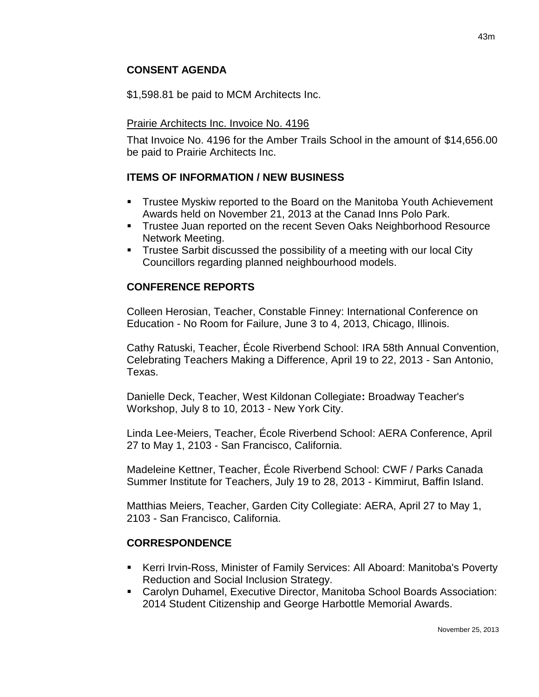## **CONSENT AGENDA**

\$1,598.81 be paid to MCM Architects Inc.

### Prairie Architects Inc. Invoice No. 4196

That Invoice No. 4196 for the Amber Trails School in the amount of \$14,656.00 be paid to Prairie Architects Inc.

### **ITEMS OF INFORMATION / NEW BUSINESS**

- Trustee Myskiw reported to the Board on the Manitoba Youth Achievement Awards held on November 21, 2013 at the Canad Inns Polo Park.
- **Trustee Juan reported on the recent Seven Oaks Neighborhood Resource** Network Meeting.
- **Trustee Sarbit discussed the possibility of a meeting with our local City** Councillors regarding planned neighbourhood models.

## **CONFERENCE REPORTS**

Colleen Herosian, Teacher, Constable Finney: International Conference on Education - No Room for Failure, June 3 to 4, 2013, Chicago, Illinois.

Cathy Ratuski, Teacher, École Riverbend School: IRA 58th Annual Convention, Celebrating Teachers Making a Difference, April 19 to 22, 2013 - San Antonio, Texas.

Danielle Deck, Teacher, West Kildonan Collegiate**:** Broadway Teacher's Workshop, July 8 to 10, 2013 - New York City.

Linda Lee-Meiers, Teacher, École Riverbend School: AERA Conference, April 27 to May 1, 2103 - San Francisco, California.

Madeleine Kettner, Teacher, École Riverbend School: CWF / Parks Canada Summer Institute for Teachers, July 19 to 28, 2013 - Kimmirut, Baffin Island.

Matthias Meiers, Teacher, Garden City Collegiate: AERA, April 27 to May 1, 2103 - San Francisco, California.

# **CORRESPONDENCE**

- Kerri Irvin-Ross, Minister of Family Services: All Aboard: Manitoba's Poverty Reduction and Social Inclusion Strategy.
- Carolyn Duhamel, Executive Director, Manitoba School Boards Association: 2014 Student Citizenship and George Harbottle Memorial Awards.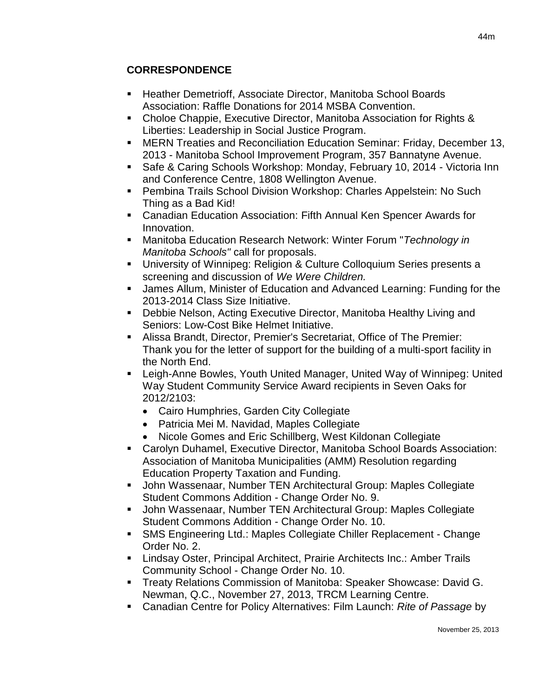# **CORRESPONDENCE**

- Heather Demetrioff, Associate Director, Manitoba School Boards Association: Raffle Donations for 2014 MSBA Convention.
- Choloe Chappie, Executive Director, Manitoba Association for Rights & Liberties: Leadership in Social Justice Program.
- MERN Treaties and Reconciliation Education Seminar: Friday, December 13, 2013 - Manitoba School Improvement Program, 357 Bannatyne Avenue.
- Safe & Caring Schools Workshop: Monday, February 10, 2014 Victoria Inn and Conference Centre, 1808 Wellington Avenue.
- Pembina Trails School Division Workshop: Charles Appelstein: No Such Thing as a Bad Kid!
- Canadian Education Association: Fifth Annual Ken Spencer Awards for Innovation.
- Manitoba Education Research Network: Winter Forum "*Technology in Manitoba Schools"* call for proposals.
- University of Winnipeg: Religion & Culture Colloquium Series presents a screening and discussion of *We Were Children.*
- James Allum, Minister of Education and Advanced Learning: Funding for the 2013-2014 Class Size Initiative.
- Debbie Nelson, Acting Executive Director, Manitoba Healthy Living and Seniors: Low-Cost Bike Helmet Initiative.
- Alissa Brandt, Director, Premier's Secretariat, Office of The Premier: Thank you for the letter of support for the building of a multi-sport facility in the North End.
- Leigh-Anne Bowles, Youth United Manager, United Way of Winnipeg: United Way Student Community Service Award recipients in Seven Oaks for 2012/2103:
	- Cairo Humphries, Garden City Collegiate
	- Patricia Mei M. Navidad, Maples Collegiate
	- Nicole Gomes and Eric Schillberg, West Kildonan Collegiate
- Carolyn Duhamel, Executive Director, Manitoba School Boards Association: Association of Manitoba Municipalities (AMM) Resolution regarding Education Property Taxation and Funding.
- John Wassenaar, Number TEN Architectural Group: Maples Collegiate Student Commons Addition - Change Order No. 9.
- John Wassenaar, Number TEN Architectural Group: Maples Collegiate Student Commons Addition - Change Order No. 10.
- SMS Engineering Ltd.: Maples Collegiate Chiller Replacement Change Order No. 2.
- Lindsay Oster, Principal Architect, Prairie Architects Inc.: Amber Trails Community School - Change Order No. 10.
- **Treaty Relations Commission of Manitoba: Speaker Showcase: David G.** Newman, Q.C., November 27, 2013, TRCM Learning Centre.
- Canadian Centre for Policy Alternatives: Film Launch: *Rite of Passage* by